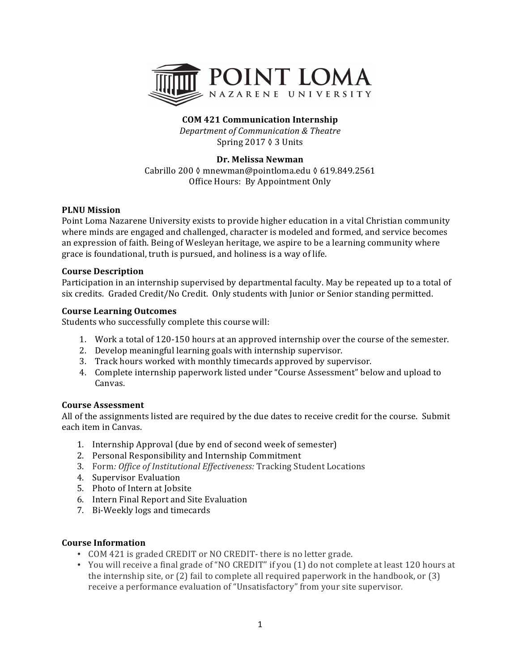

# **COM 421 Communication Internship**

*Department of Communication & Theatre* Spring  $2017 \lozenge 3$  Units

## **Dr. Melissa Newman**

Cabrillo 200 ◊ mnewman@pointloma.edu ◊ 619.849.2561 Office Hours: By Appointment Only

## **PLNU** Mission

Point Loma Nazarene University exists to provide higher education in a vital Christian community where minds are engaged and challenged, character is modeled and formed, and service becomes an expression of faith. Being of Wesleyan heritage, we aspire to be a learning community where grace is foundational, truth is pursued, and holiness is a way of life.

#### **Course Description**

Participation in an internship supervised by departmental faculty. May be repeated up to a total of six credits. Graded Credit/No Credit. Only students with Junior or Senior standing permitted.

#### **Course Learning Outcomes**

Students who successfully complete this course will:

- 1. Work a total of 120-150 hours at an approved internship over the course of the semester.
- 2. Develop meaningful learning goals with internship supervisor.
- 3. Track hours worked with monthly timecards approved by supervisor.
- 4. Complete internship paperwork listed under "Course Assessment" below and upload to Canvas.

#### **Course Assessment**

All of the assignments listed are required by the due dates to receive credit for the course. Submit each item in Canvas.

- 1. Internship Approval (due by end of second week of semester)
- 2. Personal Responsibility and Internship Commitment
- 3. Form: Office of Institutional Effectiveness: Tracking Student Locations
- 4. Supervisor Evaluation
- 5. Photo of Intern at Jobsite
- 6. Intern Final Report and Site Evaluation
- 7. Bi-Weekly logs and timecards

## **Course Information**

- COM 421 is graded CREDIT or NO CREDIT- there is no letter grade.
- You will receive a final grade of "NO CREDIT" if you (1) do not complete at least 120 hours at the internship site, or  $(2)$  fail to complete all required paperwork in the handbook, or  $(3)$ receive a performance evaluation of "Unsatisfactory" from your site supervisor.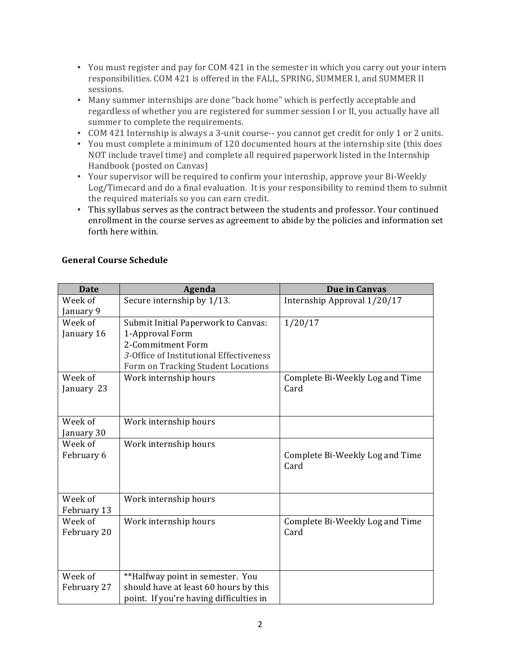- You must register and pay for COM 421 in the semester in which you carry out your intern responsibilities. COM 421 is offered in the FALL, SPRING, SUMMER I, and SUMMER II sessions.
- Many summer internships are done "back home" which is perfectly acceptable and regardless of whether you are registered for summer session I or II, you actually have all summer to complete the requirements.
- COM 421 Internship is always a 3-unit course-- you cannot get credit for only 1 or 2 units.
- You must complete a minimum of 120 documented hours at the internship site (this does NOT include travel time) and complete all required paperwork listed in the Internship Handbook (posted on Canvas)
- Your supervisor will be required to confirm your internship, approve your Bi-Weekly Log/Timecard and do a final evaluation. It is your responsibility to remind them to submit the required materials so you can earn credit.
- This syllabus serves as the contract between the students and professor. Your continued enrollment in the course serves as agreement to abide by the policies and information set forth here within.

| <b>Date</b> | Agenda                                  | Due in Canvas                   |
|-------------|-----------------------------------------|---------------------------------|
| Week of     | Secure internship by 1/13.              | Internship Approval 1/20/17     |
| January 9   |                                         |                                 |
| Week of     | Submit Initial Paperwork to Canvas:     | 1/20/17                         |
| January 16  | 1-Approval Form                         |                                 |
|             | 2-Commitment Form                       |                                 |
|             | 3-Office of Institutional Effectiveness |                                 |
|             | Form on Tracking Student Locations      |                                 |
| Week of     | Work internship hours                   | Complete Bi-Weekly Log and Time |
| January 23  |                                         | Card                            |
|             |                                         |                                 |
| Week of     | Work internship hours                   |                                 |
| January 30  |                                         |                                 |
| Week of     | Work internship hours                   |                                 |
| February 6  |                                         | Complete Bi-Weekly Log and Time |
|             |                                         | Card                            |
|             |                                         |                                 |
|             |                                         |                                 |
| Week of     | Work internship hours                   |                                 |
| February 13 |                                         |                                 |
| Week of     | Work internship hours                   | Complete Bi-Weekly Log and Time |
| February 20 |                                         | Card                            |
|             |                                         |                                 |
|             |                                         |                                 |
| Week of     | **Halfway point in semester. You        |                                 |
| February 27 | should have at least 60 hours by this   |                                 |
|             | point. If you're having difficulties in |                                 |

# **General Course Schedule**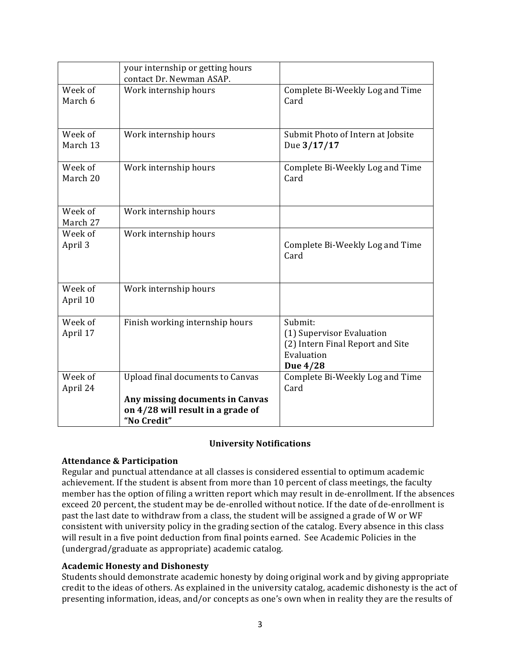|                     | your internship or getting hours<br>contact Dr. Newman ASAP.               |                                                                                                    |
|---------------------|----------------------------------------------------------------------------|----------------------------------------------------------------------------------------------------|
| Week of<br>March 6  | Work internship hours                                                      | Complete Bi-Weekly Log and Time<br>Card                                                            |
| Week of<br>March 13 | Work internship hours                                                      | Submit Photo of Intern at Jobsite<br>Due 3/17/17                                                   |
| Week of<br>March 20 | Work internship hours                                                      | Complete Bi-Weekly Log and Time<br>Card                                                            |
| Week of<br>March 27 | Work internship hours                                                      |                                                                                                    |
| Week of<br>April 3  | Work internship hours                                                      | Complete Bi-Weekly Log and Time<br>Card                                                            |
| Week of<br>April 10 | Work internship hours                                                      |                                                                                                    |
| Week of<br>April 17 | Finish working internship hours                                            | Submit:<br>(1) Supervisor Evaluation<br>(2) Intern Final Report and Site<br>Evaluation<br>Due 4/28 |
| Week of<br>April 24 | <b>Upload final documents to Canvas</b><br>Any missing documents in Canvas | Complete Bi-Weekly Log and Time<br>Card                                                            |
|                     | on 4/28 will result in a grade of<br>"No Credit"                           |                                                                                                    |

## **University Notifications**

# **Attendance & Participation**

Regular and punctual attendance at all classes is considered essential to optimum academic achievement. If the student is absent from more than 10 percent of class meetings, the faculty member has the option of filing a written report which may result in de-enrollment. If the absences exceed 20 percent, the student may be de-enrolled without notice. If the date of de-enrollment is past the last date to withdraw from a class, the student will be assigned a grade of W or WF consistent with university policy in the grading section of the catalog. Every absence in this class will result in a five point deduction from final points earned. See Academic Policies in the (undergrad/graduate as appropriate) academic catalog.

# **Academic Honesty and Dishonesty**

Students should demonstrate academic honesty by doing original work and by giving appropriate credit to the ideas of others. As explained in the university catalog, academic dishonesty is the act of presenting information, ideas, and/or concepts as one's own when in reality they are the results of